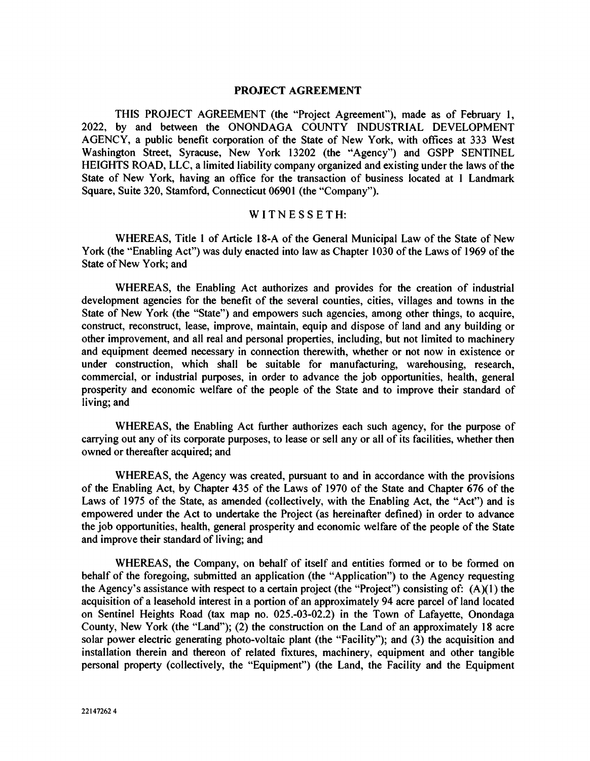#### PROJECT AGREEMENT

THIS PROJECT AGREEMENT (the "Project Agreement"), made as of February 1, 2022, by and between the ONONDAGA COUNTY INDUSTRIAL DEVELOPMENT AGENCY, a public benefit corporation of the State of New York, with offices at 333 West Washington Street, Syracuse, New York 13202 (the "Agency") and GSPP SENTINEL HEIGHTS ROAD, LLC, a limited liability company organized and existing under the laws of the State of New York, having an office for the transaction of business located at 1 Landmark Square, Suite 320, Stamford, Connecticut 06901 (the "Company").

## WITNESSETH:

WHEREAS, Title 1 of Article 18-A of the General Municipal Law of the State of New York (the "Enabling Act") was duly enacted into law as Chapter 1030 of the Laws of 1969 of the State of New York; and

WHEREAS, the Enabling Act authorizes and provides for the creation of industrial development agencies for the benefit of the several counties, cities, villages and towns in the State of New York (the "State") and empowers such agencies, among other things, to acquire, construct, reconstruct, lease, improve, maintain, equip and dispose of land and any building or other improvement, and all real and personal properties, including, but not limited to machinery and equipment deemed necessary in connection therewith, whether or not now in existence or under construction, which shall be suitable for manufacturing, warehousing, research, commercial, or industrial purposes, in order to advance the job opportunities, health, general prosperity and economic welfare of the people of the State and to improve their standard of living; and

WHEREAS, the Enabling Act further authorizes each such agency, for the purpose of carrying out any of its corporate purposes, to lease or sell any or all of its facilities, whether then owned or thereafter acquired; and

WHEREAS, the Agency was created, pursuant to and in accordance with the provisions of the Enabling Act, by Chapter 435 of the Laws of 1970 of the State and Chapter 676 of the Laws of 1975 of the State, as amended (collectively, with the Enabling Act, the "Act") and is empowered under the Act to undertake the Project (as hereinafter defined) in order to advance the job opportunities, health, general prosperity and economic welfare of the people of the State and improve their standard of living; and

WHEREAS, the Company, on behalf of itself and entities formed or to be formed on behalf of the foregoing, submitted an application (the "Application") to the Agency requesting the Agency's assistance with respect to a certain project (the "Project") consisting of:  $(A)(1)$  the acquisition of a leasehold interest in a portion of an approximately 94 acre parcel of land located on Sentinel Heights Road (tax map no. 025.-03-02.2) in the Town of Lafayette, Onondaga County, New York (the "Land"); (2) the construction on the Land of an approximately 18 acre solar power electric generating photo-voltaic plant (the "Facility"); and (3) the acquisition and installation therein and thereon of related fixtures, machinery, equipment and other tangible personal property (collectively, the "Equipment") (the Land, the Facility and the Equipment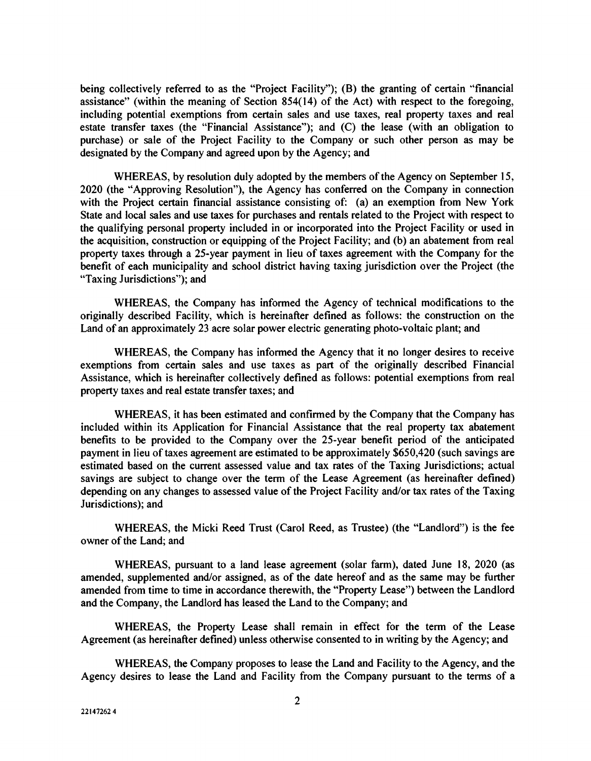being collectively referred to as the "Project Facility"); (B) the granting of certain "financial assistance" (within the meaning of Section 854(14) of the Act) with respect to the foregoing, including potential exemptions from certain sales and use taxes, real property taxes and real estate transfer taxes (the "Financial Assistance"); and (C) the lease (with an obligation to purchase) or sale of the Project Facility to the Company or such other person as may be designated by the Company and agreed upon by the Agency; and

WHEREAS, by resolution duly adopted by the members of the Agency on September 15, 2020 (the 'Approving Resolution"), the Agency has conferred on the Company in connection with the Project certain financial assistance consisting of: (a) an exemption from New York State and local sales and use taxes for purchases and rentals related to the Project with respect to the qualifying personal property included in or incorporated into the Project Facility or used in the acquisition, construction or equipping of the Project Facility; and (b) an abatement from real property taxes through a 25-year payment in lieu of taxes agreement with the Company for the benefit of each municipality and school district having taxing jurisdiction over the Project (the "Taxing Jurisdictions"); and

WHEREAS, the Company has informed the Agency of technical modifications to the originally described Facility, which is hereinafter defined as follows: the construction on the Land of an approximately 23 acre solar power electric generating photo-voltaic plant; and

WHEREAS, the Company has informed the Agency that it no longer desires to receive exemptions from certain sales and use taxes as part of the originally described Financial Assistance, which is hereinafter collectively defined as follows: potential exemptions from real property taxes and real estate transfer taxes; and

WHEREAS, it has been estimated and confirmed by the Company that the Company has included within its Application for Financial Assistance that the real property tax abatement benefits to be provided to the Company over the 25-year benefit period of the anticipated payment in lieu of taxes agreement are estimated to be approximately \$650,420 (such savings are estimated based on the current assessed value and tax rates of the Taxing Jurisdictions; actual savings are subject to change over the term of the Lease Agreement (as hereinafter defined) depending on any changes to assessed value of the Project Facility and/or tax rates of the Taxing Jurisdictions); and

WHEREAS, the Micki Reed Trust (Carol Reed, as Trustee) (the "Landlord") is the fee owner of the Land; and

WHEREAS, pursuant to a land lease agreement (solar farm), dated June 18, 2020 (as amended, supplemented and/or assigned, as of the date hereof and as the same may be further amended from time to time in accordance therewith, the "Property Lease") between the Landlord and the Company, the Landlord has leased the Land to the Company; and

WHEREAS, the Property Lease shall remain in effect for the term of the Lease Agreement (as hereinafter defined) unless otherwise consented to in writing by the Agency; and

WHEREAS, the Company proposes to lease the Land and Facility to the Agency, and the Agency desires to lease the Land and Facility from the Company pursuant to the terms of a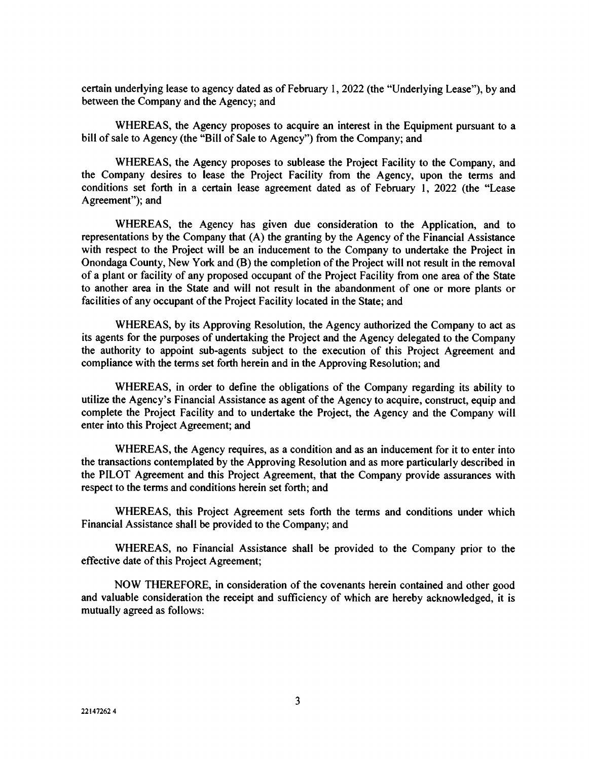certain underlying lease to agency dated as of February 1, 2022 (the "Underlying Lease"), by and between the Company and the Agency; and

WHEREAS, the Agency proposes to acquire an interest in the Equipment pursuant to a bill of sale to Agency (the "Bill of Sale to Agency") from the Company; and

WHEREAS, the Agency proposes to sublease the Project Facility to the Company, and the Company desires to lease the Project Facility from the Agency, upon the terms and conditions set forth in a certain lease agreement dated as of February 1, 2022 (the "Lease Agreement"); and

WHEREAS, the Agency has given due consideration to the Application, and to representations by the Company that (A) the granting by the Agency of the Financial Assistance with respect to the Project will be an inducement to the Company to undertake the Project in Onondaga County, New York and (B) the completion of the Project will not result in the removal of a plant or facility of any proposed occupant of the Project Facility from one area of the State to another area in the State and will not result in the abandonment of one or more plants or facilities of any occupant of the Project Facility located in the State; and

WHEREAS, by its Approving Resolution, the Agency authorized the Company to act as its agents for the purposes of undertaking the Project and the Agency delegated to the Company the authority to appoint sub-agents subject to the execution of this Project Agreement and compliance with the terms set forth herein and in the Approving Resolution; and

WHEREAS, in order to define the obligations of the Company regarding its ability to utilize the Agency's Financial Assistance as agent of the Agency to acquire, construct, equip and complete the Project Facility and to undertake the Project, the Agency and the Company will enter into this Project Agreement; and

WHEREAS, the Agency requires, as a condition and as an inducement for it to enter into the transactions contemplated by the Approving Resolution and as more particularly described in the PILOT Agreement and this Project Agreement, that the Company provide assurances with respect to the terms and conditions herein set forth; and

WHEREAS, this Project Agreement sets forth the terms and conditions under which Financial Assistance shall be provided to the Company; and

WHEREAS, no Financial Assistance shall be provided to the Company prior to the effective date of this Project Agreement;

NOW THEREFORE, in consideration of the covenants herein contained and other good and valuable consideration the receipt and sufficiency of which are hereby acknowledged, it is mutually agreed as follows: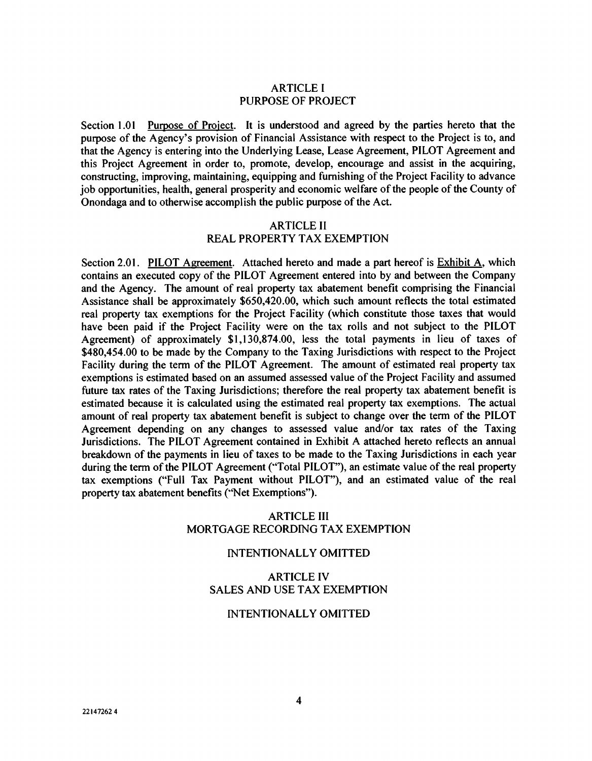### ARTICLE I PURPOSE OF PROJECT

Section 1.01 Purpose of Project. It is understood and agreed by the parties hereto that the purpose of the Agency's provision of Financial Assistance with respect to the Project is to, and that the Agency is entering into the Underlying Lease, Lease Agreement, PILOT Agreement and this Project Agreement in order to, promote, develop, encourage and assist in the acquiring, constructing, improving, maintaining, equipping and furnishing of the Project Facility to advance job opportunities, health, general prosperity and economic welfare of the people of the County of Onondaga and to otherwise accomplish the public purpose of the Act.

#### ARTICLE II

## REAL PROPERTY TAX EXEMPTION

Section 2.01. PILOT Agreement. Attached hereto and made a part hereof is Exhibit A, which contains an executed copy of the PILOT Agreement entered into by and between the Company and the Agency. The amount of real property tax abatement benefit comprising the Financial Assistance shall be approximately \$650,420.00, which such amount reflects the total estimated real property tax exemptions for the Project Facility (which constitute those taxes that would have been paid if the Project Facility were on the tax rolls and not subject to the PILOT Agreement) of approximately \$1,130,874.00, less the total payments in lieu of taxes of \$480,454.00 to be made by the Company to the Taxing Jurisdictions with respect to the Project Facility during the term of the PILOT Agreement. The amount of estimated real property tax exemptions is estimated based on an assumed assessed value of the Project Facility and assumed future tax rates of the Taxing Jurisdictions; therefore the real property tax abatement benefit is estimated because it is calculated using the estimated real property tax exemptions. The actual amount of real property tax abatement benefit is subject to change over the term of the PILOT Agreement depending on any changes to assessed value and/or tax rates of the Taxing Jurisdictions. The PILOT Agreement contained in Exhibit A attached hereto reflects an annual breakdown of the payments in lieu of taxes to be made to the Taxing Jurisdictions in each year during the term of the PILOT Agreement ("Total PILOT"), an estimate value of the real property tax exemptions ("Full Tax Payment without PILOT"), and an estimated value of the real property tax abatement benefits ('Net Exemptions").

## ARTICLE III MORTGAGE RECORDING TAX EXEMPTION

#### INTENTIONALLY OMITTED

## ARTICLE IV SALES AND USE TAX EXEMPTION

#### INTENTIONALLY OMITTED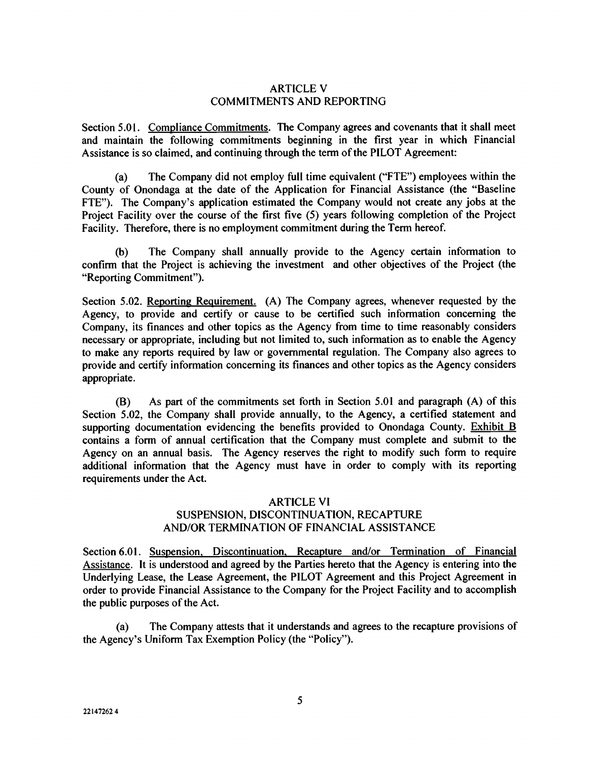#### ARTICLE V COMMITMENTS AND REPORTING

Section 5.01. Compliance Commitments. The Company agrees and covenants that it shall meet and maintain the following commitments beginning in the first year in which Financial Assistance is so claimed, and continuing through the term of the PILOT Agreement:

(a) The Company did not employ full time equivalent ('FTE") employees within the County of Onondaga at the date of the Application for Financial Assistance (the "Baseline FTE"). The Company's application estimated the Company would not create any jobs at the Project Facility over the course of the first five (5) years following completion of the Project Facility. Therefore, there is no employment commitment during the Term hereof.

(b) The Company shall annually provide to the Agency certain information to confirm that the Project is achieving the investment and other objectives of the Project (the "Reporting Commitment").

Section 5.02. Reporting Requirement. (A) The Company agrees, whenever requested by the Agency, to provide and certify or cause to be certified such information concerning the Company, its finances and other topics as the Agency from time to time reasonably considers necessary or appropriate, including but not limited to, such information as to enable the Agency to make any reports required by law or governmental regulation. The Company also agrees to provide and certify information concerning its finances and other topics as the Agency considers appropriate.

(B) As part of the commitments set forth in Section 5.01 and paragraph (A) of this Section 5.02, the Company shall provide annually, to the Agency, a certified statement and supporting documentation evidencing the benefits provided to Onondaga County. Exhibit B contains a form of annual certification that the Company must complete and submit to the Agency on an annual basis. The Agency reserves the right to modify such form to require additional information that the Agency must have in order to comply with its reporting requirements under the Act.

## ARTICLE VI SUSPENSION, DISCONTINUATION, RECAPTURE AND/OR TERMINATION OF FINANCIAL ASSISTANCE

Section 6.01. Suspension, Discontinuation. Recapture and/or Termination of Financial Assistance. It is understood and agreed by the Parties hereto that the Agency is entering into the Underlying Lease, the Lease Agreement, the PILOT Agreement and this Project Agreement in order to provide Financial Assistance to the Company for the Project Facility and to accomplish the public purposes of the Act.

(a) The Company attests that it understands and agrees to the recapture provisions of the Agency's Uniform Tax Exemption Policy (the "Policy").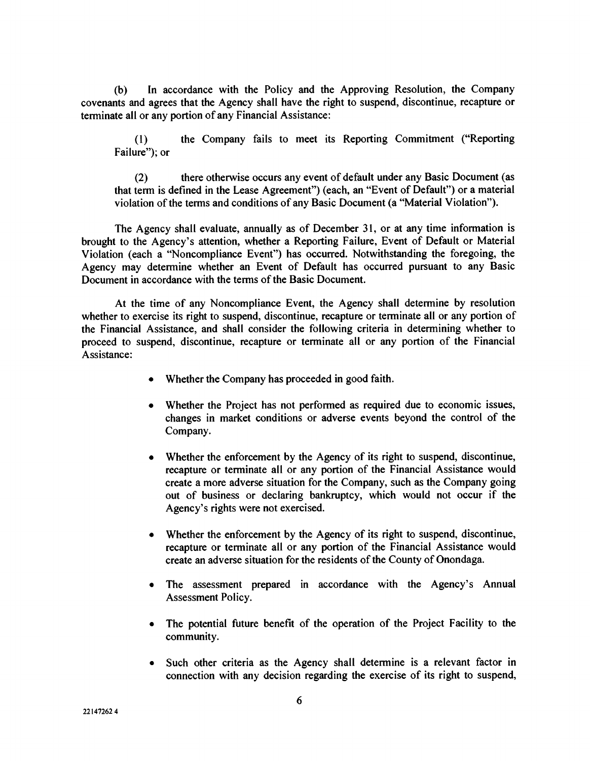(b) In accordance with the Policy and the Approving Resolution, the Company covenants and agrees that the Agency shall have the right to suspend, discontinue, recapture or terminate all or any portion of any Financial Assistance:

(1) the Company fails to meet its Reporting Commitment ("Reporting Failure"); or

(2) there otherwise occurs any event of default under any Basic Document (as that term is defined in the Lease Agreement") (each, an "Event of Default") or a material violation of the terms and conditions of any Basic Document (a "Material Violation").

The Agency shall evaluate, annually as of December 31, or at any time information is brought to the Agency's attention, whether a Reporting Failure, Event of Default or Material Violation (each a "Noncompliance Event") has occurred. Notwithstanding the foregoing, the Agency may determine whether an Event of Default has occurred pursuant to any Basic Document in accordance with the terms of the Basic Document.

At the time of any Noncompliance Event, the Agency shall determine by resolution whether to exercise its right to suspend, discontinue, recapture or terminate all or any portion of the Financial Assistance, and shall consider the following criteria in determining whether to proceed to suspend, discontinue, recapture or terminate all or any portion of the Financial Assistance:

- . Whether the Company has proceeded in good faith.
- Whether the Project has not performed as required due to economic issues, changes in market conditions or adverse events beyond the control of the Company.
- Whether the enforcement by the Agency of its right to suspend, discontinue, recapture or terminate all or any portion of the Financial Assistance would create a more adverse situation for the Company, such as the Company going out of business or declaring bankruptcy, which would not occur if the Agency's rights were not exercised.
- Whether the enforcement by the Agency of its right to suspend, discontinue, recapture or terminate all or any portion of the Financial Assistance would create an adverse situation for the residents of the County of Onondaga.
- The assessment prepared in accordance with the Agency's Annual Assessment Policy.
- The potential future benefit of the operation of the Project Facility to the community.
- Such other criteria as the Agency shall determine is a relevant factor in connection with any decision regarding the exercise of its right to suspend,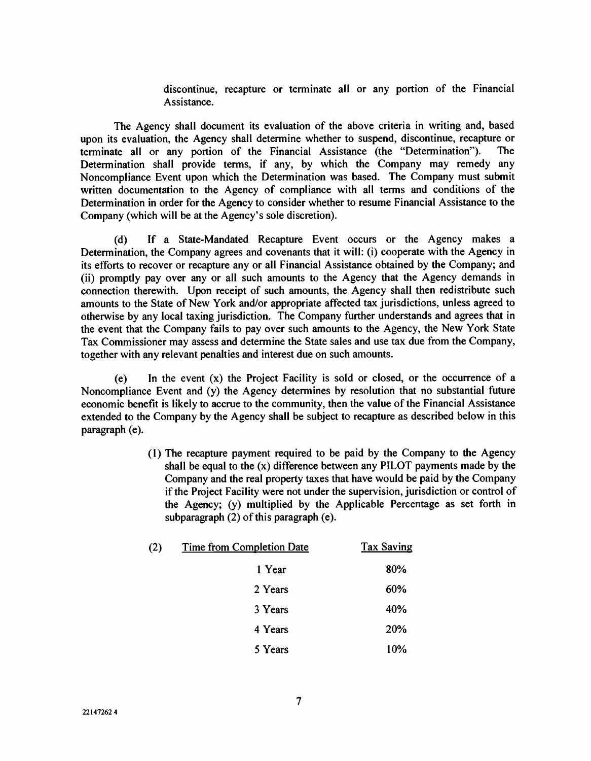discontinue, recapture or terminate all or any portion of the Financial Assistance.

The Agency shall document its evaluation of the above criteria in writing and, based upon its evaluation, the Agency shall determine whether to suspend, discontinue, recapture or terminate all or any portion of the Financial Assistance (the "Determination"). The Determination shall provide terms, if any, by which the Company may remedy any Noncompliance Event upon which the Determination was based. The Company must submit written documentation to the Agency of compliance with all terms and conditions of the Determination in order for the Agency to consider whether to resume Financial Assistance to the Company (which will be at the Agency's sole discretion).

(d) If a State-Mandated Recapture Event occurs or the Agency makes a Determination, the Company agrees and covenants that it will: (i) cooperate with the Agency in its efforts to recover or recapture any or all Financial Assistance obtained by the Company; and (ii) promptly pay over any or all such amounts to the Agency that the Agency demands in connection therewith. Upon receipt of such amounts, the Agency shall then redistribute such amounts to the State of New York and/or appropriate affected tax jurisdictions, unless agreed to otherwise by any local taxing jurisdiction. The Company further understands and agrees that in the event that the Company fails to pay over such amounts to the Agency, the New York State Tax Commissioner may assess and determine the State sales and use tax due from the Company, together with any relevant penalties and interest due on such amounts.

(e) In the event (x) the Project Facility is sold or closed, or the occurrence of a Noncompliance Event and (y) the Agency determines by resolution that no substantial future economic benefit is likely to accrue to the community, then the value of the Financial Assistance extended to the Company by the Agency shall be subject to recapture as described below in this paragraph (e).

> (1) The recapture payment required to be paid by the Company to the Agency shall be equal to the (x) difference between any PILOT payments made by the Company and the real property taxes that have would be paid by the Company if the Project Facility were not under the supervision, jurisdiction or control of the Agency; (y) multiplied by the Applicable Percentage as set forth in subparagraph (2) of this paragraph (e).

| (2) | <b>Time from Completion Date</b> | <b>Tax Saving</b> |
|-----|----------------------------------|-------------------|
|     | 1 Year                           | 80%               |
|     | 2 Years                          | 60%               |
|     | 3 Years                          | 40%               |
|     | 4 Years                          | 20%               |
|     | 5 Years                          | 10%               |
|     |                                  |                   |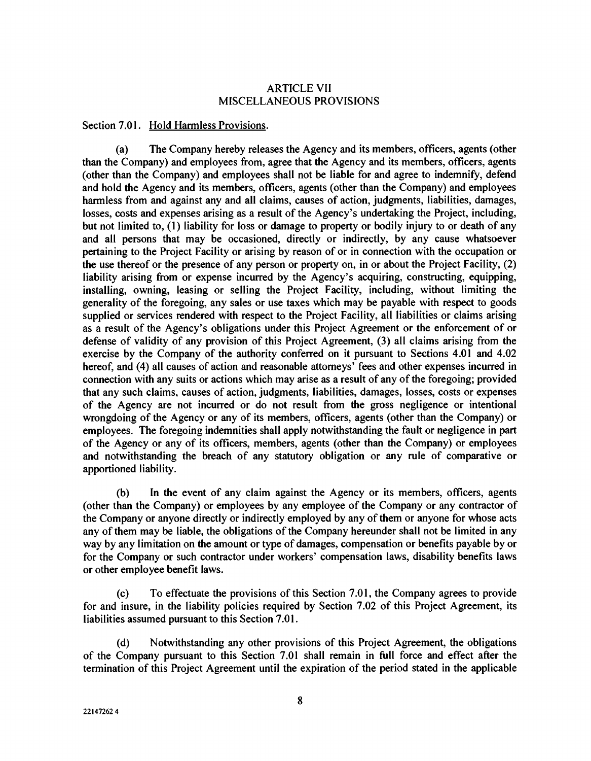#### ARTICLE VII MISCELLANEOUS PROVISIONS

#### Section 7.01. Hold Harmless Provisions.

(a) The Company hereby releases the Agency and its members, officers, agents (other than the Company) and employees from, agree that the Agency and its members, officers, agents (other than the Company) and employees shall not be liable for and agree to indemnify, defend and hold the Agency and its members, officers, agents (other than the Company) and employees harmless from and against any and all claims, causes of action, judgments, liabilities, damages, losses, costs and expenses arising as a result of the Agency's undertaking the Project, including, but not limited to, (1) liability for loss or damage to property or bodily injury to or death of any and all persons that may be occasioned, directly or indirectly, by any cause whatsoever pertaining to the Project Facility or arising by reason of or in connection with the occupation or the use thereof or the presence of any person or property on, in or about the Project Facility, (2) liability arising from or expense incurred by the Agency's acquiring, constructing, equipping, installing, owning, leasing or selling the Project Facility, including, without limiting the generality of the foregoing, any sales or use taxes which may be payable with respect to goods supplied or services rendered with respect to the Project Facility, all liabilities or claims arising as a result of the Agency's obligations under this Project Agreement or the enforcement of or defense of validity of any provision of this Project Agreement, (3) all claims arising from the exercise by the Company of the authority conferred on it pursuant to Sections 4.01 and 4.02 hereof, and (4) all causes of action and reasonable attorneys' fees and other expenses incurred in connection with any suits or actions which may arise as a result of any of the foregoing; provided that any such claims, causes of action, judgments, liabilities, damages, losses, costs or expenses of the Agency are not incurred or do not result from the gross negligence or intentional wrongdoing of the Agency or any of its members, officers, agents (other than the Company) or employees. The foregoing indemnities shall apply notwithstanding the fault or negligence in part of the Agency or any of its officers, members, agents (other than the Company) or employees and notwithstanding the breach of any statutory obligation or any rule of comparative or apportioned liability.

(b) In the event of any claim against the Agency or its members, officers, agents (other than the Company) or employees by any employee of the Company or any contractor of the Company or anyone directly or indirectly employed by any of them or anyone for whose acts any of them may be liable, the obligations of the Company hereunder shall not be limited in any way by any limitation on the amount or type of damages, compensation or benefits payable by or for the Company or such contractor under workers' compensation laws, disability benefits laws or other employee benefit laws.

(c) To effectuate the provisions of this Section 7.01, the Company agrees to provide for and insure, in the liability policies required by Section 7.02 of this Project Agreement, its liabilities assumed pursuant to this Section 7.01.

(d) Notwithstanding any other provisions of this Project Agreement, the obligations of the Company pursuant to this Section 7.01 shall remain in full force and effect after the termination of this Project Agreement until the expiration of the period stated in the applicable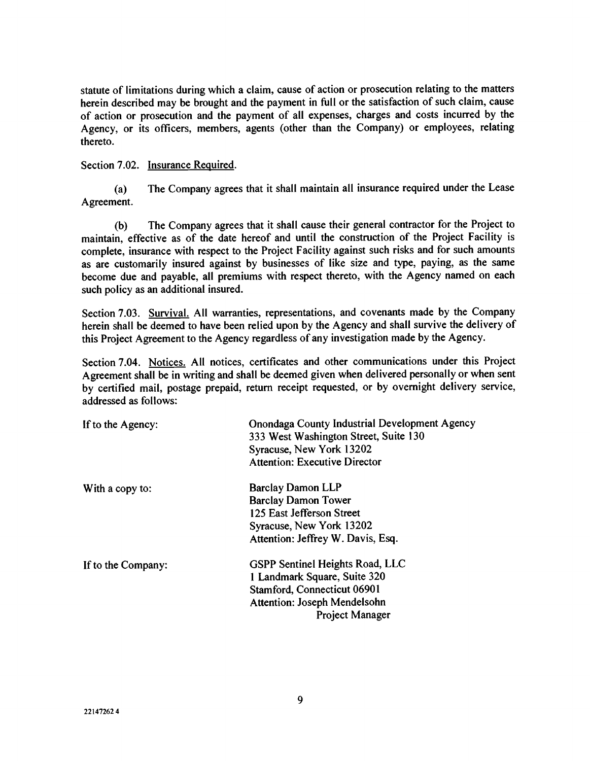statute of limitations during which a claim, cause of action or prosecution relating to the matters herein described may be brought and the payment in full or the satisfaction of such claim, cause of action or prosecution and the payment of all expenses, charges and costs incurred by the Agency, or its officers, members, agents (other than the Company) or employees, relating thereto.

Section 7.02. Insurance Required.

(a) The Company agrees that it shall maintain all insurance required under the Lease Agreement.

(b) The Company agrees that it shall cause their general contractor for the Project to maintain, effective as of the date hereof and until the construction of the Project Facility is complete, insurance with respect to the Project Facility against such risks and for such amounts as are customarily insured against by businesses of like size and type, paying, as the same become due and payable, all premiums with respect thereto, with the Agency named on each such policy as an additional insured.

Section 7.03. Survival. All warranties, representations, and covenants made by the Company herein shall be deemed to have been relied upon by the Agency and shall survive the delivery of this Project Agreement to the Agency regardless of any investigation made by the Agency.

Section 7.04. Notices. All notices, certificates and other communications under this Project Agreement shall be in writing and shall be deemed given when delivered personally or when sent by certified mail, postage prepaid, return receipt requested, or by overnight delivery service, addressed as follows:

| If to the Agency:  | Onondaga County Industrial Development Agency<br>333 West Washington Street, Suite 130<br>Syracuse, New York 13202<br><b>Attention: Executive Director</b>             |
|--------------------|------------------------------------------------------------------------------------------------------------------------------------------------------------------------|
| With a copy to:    | <b>Barclay Damon LLP</b><br><b>Barclay Damon Tower</b><br>125 East Jefferson Street<br>Syracuse, New York 13202<br>Attention: Jeffrey W. Davis, Esq.                   |
| If to the Company: | <b>GSPP Sentinel Heights Road, LLC</b><br>1 Landmark Square, Suite 320<br>Stamford, Connecticut 06901<br><b>Attention: Joseph Mendelsohn</b><br><b>Project Manager</b> |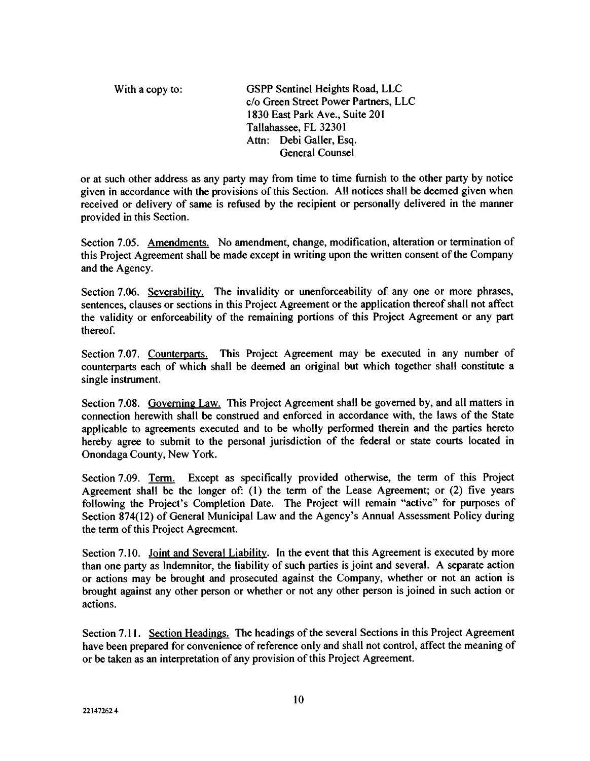With a copy to: GSPP Sentinel Heights Road, LLC c/o Green Street Power Partners, LLC 1830 East Park Ave., Suite 201 Tallahassee, FL 32301 Attn: Debi Galler, Esq. General Counsel

or at such other address as any party may from time to time furnish to the other party by notice given in accordance with the provisions of this Section. All notices shall be deemed given when received or delivery of same is refused by the recipient or personally delivered in the manner provided in this Section.

Section 7.05. Amendments. No amendment, change, modification, alteration or termination of this Project Agreement shall be made except in writing upon the written consent of the Company and the Agency.

Section 7.06. Severability. The invalidity or unenforceability of any one or more phrases, sentences, clauses or sections in this Project Agreement or the application thereof shall not affect the validity or enforceability of the remaining portions of this Project Agreement or any part thereof.

Section 7.07. Counterparts. This Project Agreement may be executed in any number of counterparts each of which shall be deemed an original but which together shall constitute a single instrument.

Section 7.08. Governing Law. This Project Agreement shall be governed by, and all matters in connection herewith shall be construed and enforced in accordance with, the laws of the State applicable to agreements executed and to be wholly performed therein and the parties hereto hereby agree to submit to the personal jurisdiction of the federal or state courts located in Onondaga County, New York.

Section 7.09. Term. Except as specifically provided otherwise, the term of this Project Agreement shall be the longer of: (1) the term of the Lease Agreement; or (2) five years following the Project's Completion Date. The Project will remain "active" for purposes of Section 874(12) of General Municipal Law and the Agency's Annual Assessment Policy during the term of this Project Agreement.

Section 7.10. Joint and Several Liability. In the event that this Agreement is executed by more than one party as Indemnitor, the liability of such parties is joint and several. A separate action or actions may be brought and prosecuted against the Company, whether or not an action is brought against any other person or whether or not any other person is joined in such action or actions.

Section 7.11. Section Headings. The headings of the several Sections in this Project Agreement have been prepared for convenience of reference only and shall not control, affect the meaning of or be taken as an interpretation of any provision of this Project Agreement.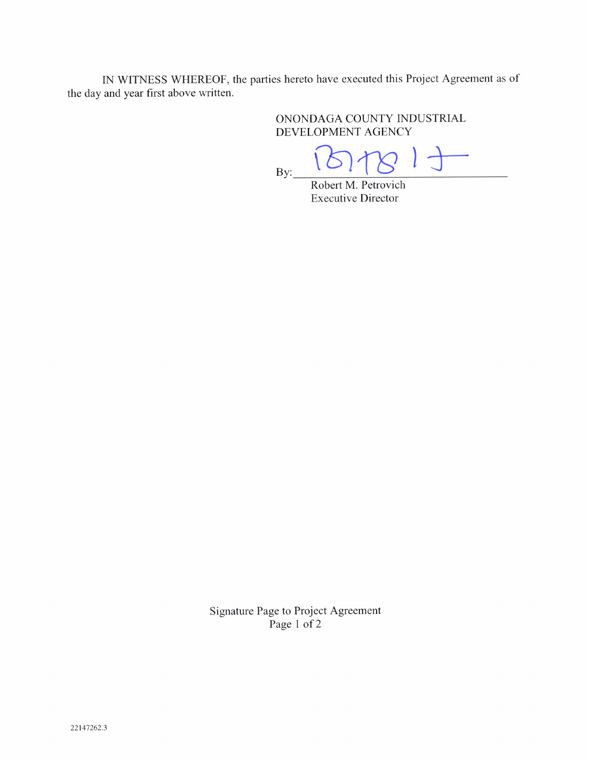IN WITNESS WHEREOF, the parties hereto have executed this Project Agreement as of the day and year first above written.

> ONONDAGA COUNTY INDUSTRIAL DEVELOPMENT AGENCY

By:

Robert M. Petrovich Executive Director

Signature Page to Project Agreement Page 1 of 2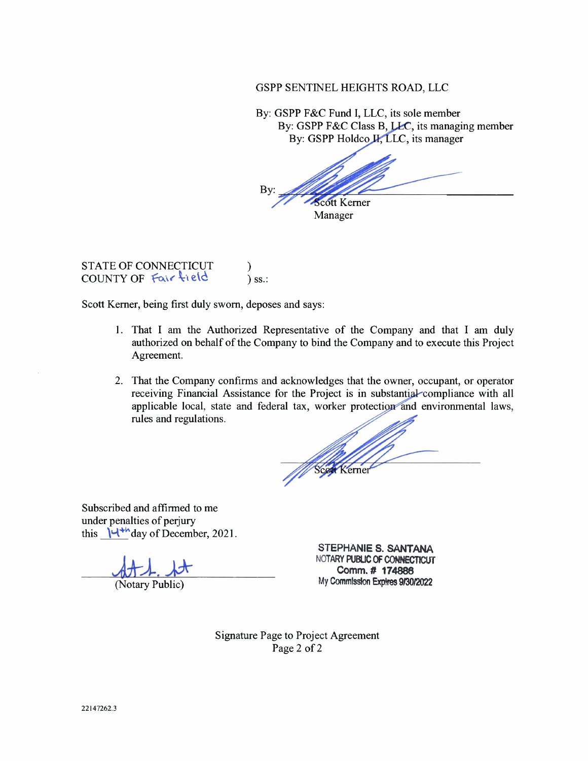GSPP SENTINEL HEIGHTS ROAD, LLC

By: GSPP F&C Fund I, LLC, its sole member By: GSPP F&C Class B, LEC, its managing member By: GSPP Holdco **II**, LLC, its manager

Bv **Scott Kerner** Manager

STATE OF CONNECTICUT COUNTY OF Fair field  $\int$  ss.:

Scott Kerner, being first duly sworn, deposes and says:

- 1. That I am the Authorized Representative of the Company and that I am duly authorized on behalf of the Company to bind the Company and to execute this Project Agreement.
- 2. That the Company confirms and acknowledges that the owner, occupant, or operator receiving Financial Assistance for the Project is in substantial compliance with all applicable local, state and federal tax, worker protection and environmental laws, rules and regulations.

erne

Subscribed and affirmed to me under penalties of perjury this  $\mathcal{U}^{+h}$  day of December, 2021.

(Notary Public)

STEPHANIE S. SANTANA NOTARY PUBUC OF CONNECTICUT Comm.# 174888 My CommIssion Expires 9130/2022

Signature Page to Project Agreement Page 2 of 2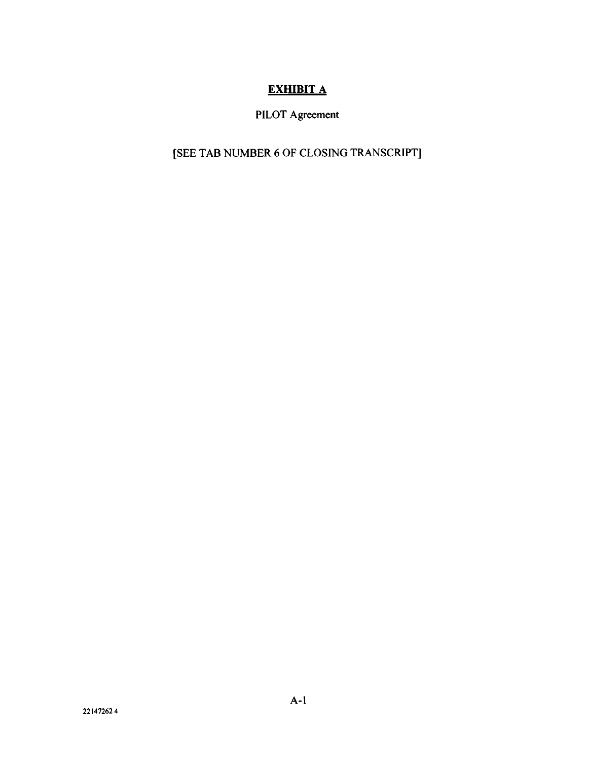## **EXHIBIT A**

# PILOT Agreement

# [SEE TAB NUMBER 6 OF CLOSING TRANSCRIPT]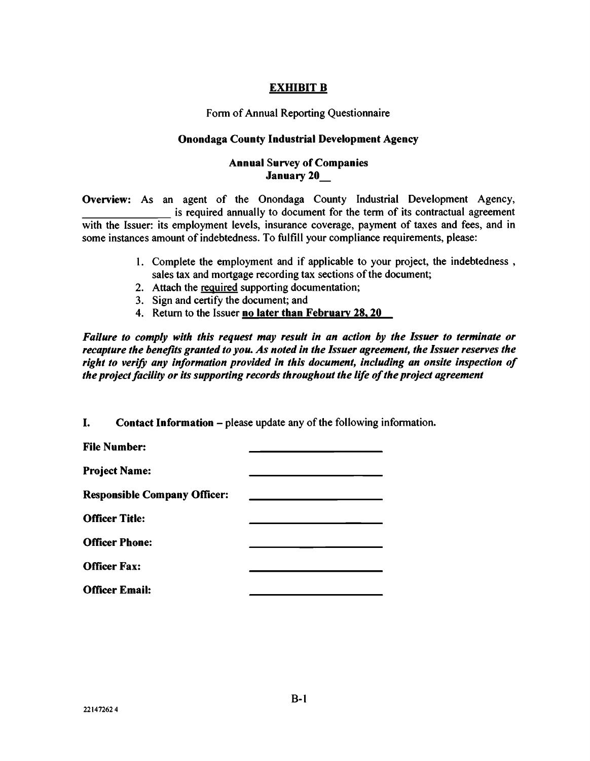## EXHIBIT B

### Form of Annual Reporting Questionnaire

## Onondaga County Industrial Development Agency

## Annual Survey of Companies January 20\_

Overview: As an agent of the Onondaga County Industrial Development Agency, is required annually to document for the term of its contractual agreement with the Issuer: its employment levels, insurance coverage, payment of taxes and fees, and in some instances amount of indebtedness. To fulfill your compliance requirements, please:

- 1. Complete the employment and if applicable to your project, the indebtedness, sales tax and mortgage recording tax sections of the document;
- 2. Attach the required supporting documentation;
- 3. Sign and certify the document; and
- 4. Return to the Issuer no later than February 28, 20

Failure to comply with this request may result in an action by the Issuer to terminate or recapture the benefits granted to you. As noted in the Issuer agreement, the Issuer reserves the right to verify any information provided in this document, including an onsite inspection of the project facility or its supporting records throughout the life of the project agreement

I. Contact Information - please update any of the following information.

| <b>File Number:</b>                 |  |
|-------------------------------------|--|
| <b>Project Name:</b>                |  |
| <b>Responsible Company Officer:</b> |  |
| <b>Officer Title:</b>               |  |
| <b>Officer Phone:</b>               |  |
| <b>Officer Fax:</b>                 |  |
| <b>Officer Email:</b>               |  |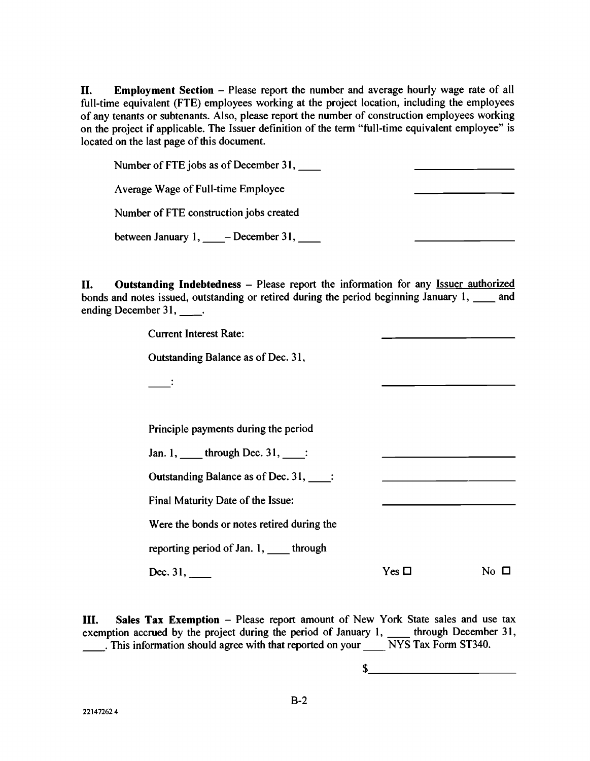LI. Employment Section - Please report the number and average hourly wage rate of all full-time equivalent (FTE) employees working at the project location, including the employees of any tenants or subtenants. Also, please report the number of construction employees working on the project if applicable. The Issuer definition of the term "full-time equivalent employee" is located on the last page of this document.

Number of FTE jobs as of December 31, Average Wage of Full-time Employee Number of FTE construction jobs created between January  $1, \_\_\_$ - December 31,  $\_\_\_\_$ 

II. Outstanding Indebtedness – Please report the information for any Issuer authorized bonds and notes issued, outstanding or retired during the period beginning January  $1, \_\_\_\$  and ending December 31, \_\_\_\_.

Current Interest Rate:

Outstanding Balance as of Dec. 31,

 $\ddot{\cdot}$ 

Principle payments during the period

Jan. 1, \_\_\_\_\_ through Dec. 31, \_\_\_\_:

Outstanding Balance as of Dec. 31,

Final Maturity Date of the Issue:

Were the bonds or notes retired during the

reporting period of Jan. 1, \_\_\_\_ through

Dec. 31,  $\qquad \qquad$  No  $\Box$ 

III. Sales Tax Exemption - Please report amount of New York State sales and use tax exemption accrued by the project during the period of January 1, \_\_\_\_\_ through December 31, This information should agree with that reported on your  $\frac{1}{\sqrt{N}}$  NYS Tax Form ST340.

\$